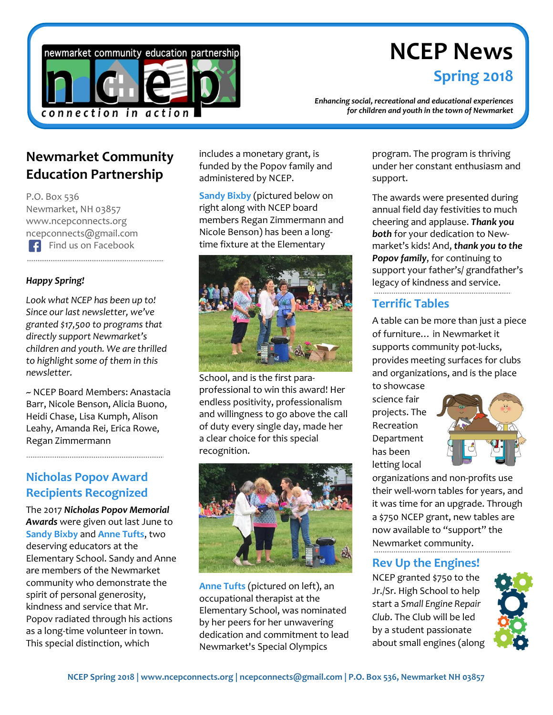

# **NCEP News**

**Spring 2018**

*Enhancing social, recreational and educational experiences for children and youth in the town of Newmarket*

# **Newmarket Community Education Partnership**

P.O. Box 536 Newmarket, NH 03857 www.ncepconnects.org ncepconnects@gmail.com Find us on Facebook

### *Happy Spring!*

*Look what NCEP has been up to! Since our last newsletter, we've granted \$17,500 to programs that directly support Newmarket's children and youth. We are thrilled to highlight some of them in this newsletter.*

~ NCEP Board Members: Anastacia Barr, Nicole Benson, Alicia Buono, Heidi Chase, Lisa Kumph, Alison Leahy, Amanda Rei, Erica Rowe, Regan Zimmermann

# **Nicholas Popov Award Recipients Recognized**

The 2017 *Nicholas Popov Memorial Awards* were given out last June to **Sandy Bixby** and **Anne Tufts**, two deserving educators at the Elementary School. Sandy and Anne are members of the Newmarket community who demonstrate the spirit of personal generosity, kindness and service that Mr. Popov radiated through his actions as a long-time volunteer in town. This special distinction, which

includes a monetary grant, is funded by the Popov family and administered by NCEP.

**Sandy Bixby** (pictured below on right along with NCEP board members Regan Zimmermann and Nicole Benson) has been a longtime fixture at the Elementary



School, and is the first paraprofessional to win this award! Her endless positivity, professionalism and willingness to go above the call of duty every single day, made her a clear choice for this special recognition.



**Anne Tufts** (pictured on left), an occupational therapist at the Elementary School, was nominated by her peers for her unwavering dedication and commitment to lead Newmarket's Special Olympics

program. The program is thriving under her constant enthusiasm and support.

The awards were presented during annual field day festivities to much cheering and applause. *Thank you both* for your dedication to Newmarket's kids! And, *thank you to the Popov family*, for continuing to support your father's/ grandfather's legacy of kindness and service.

# **Terrific Tables**

A table can be more than just a piece of furniture… in Newmarket it supports community pot-lucks, provides meeting surfaces for clubs and organizations, and is the place

to showcase science fair projects. The Recreation Department has been letting local



organizations and non-profits use their well-worn tables for years, and it was time for an upgrade. Through a \$750 NCEP grant, new tables are now available to "support" the Newmarket community.

## **Rev Up the Engines!**

NCEP granted \$750 to the Jr./Sr. High School to help start a *Small Engine Repair Club*. The Club will be led by a student passionate about small engines (along